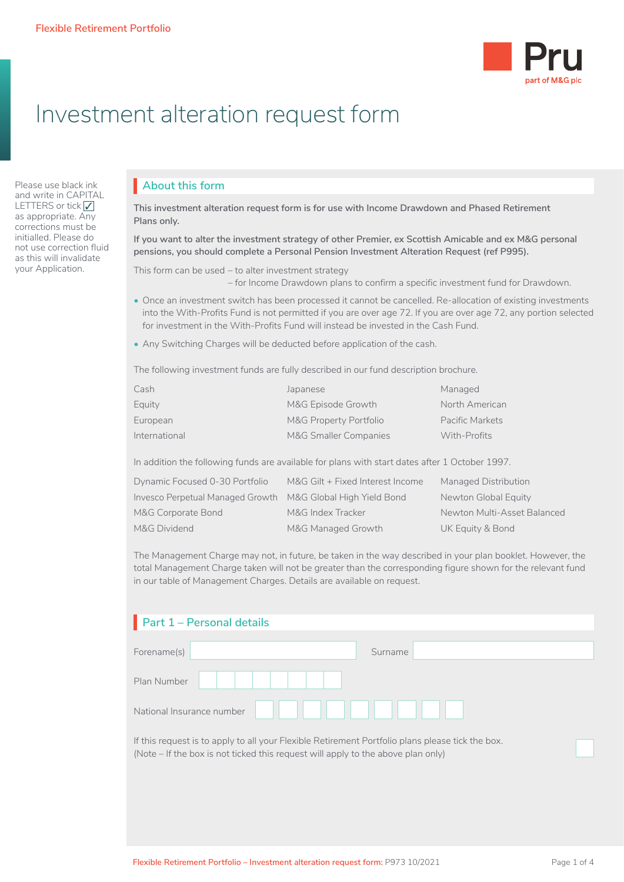

# Investment alteration request form

Please use black ink and write in CAPITAL LETTERS or tick √ as appropriate. Any corrections must be initialled. Please do not use correction fluid as this will invalidate your Application.

#### **About this form**

**This investment alteration request form is for use with Income Drawdown and Phased Retirement Plans only.**

**If you want to alter the investment strategy of other Premier, ex Scottish Amicable and ex M&G personal pensions, you should complete a Personal Pension Investment Alteration Request (ref P995).**

This form can be used – to alter investment strategy

– for Income Drawdown plans to confirm a specific investment fund for Drawdown.

- Once an investment switch has been processed it cannot be cancelled. Re-allocation of existing investments into the With-Profits Fund is not permitted if you are over age 72. If you are over age 72, any portion selected for investment in the With-Profits Fund will instead be invested in the Cash Fund.
- Any Switching Charges will be deducted before application of the cash.

The following investment funds are fully described in our fund description brochure.

| Cash          | Japanese               | Managed         |
|---------------|------------------------|-----------------|
| Equity        | M&G Episode Growth     | North American  |
| European      | M&G Property Portfolio | Pacific Markets |
| International | M&G Smaller Companies  | With-Profits    |

In addition the following funds are available for plans with start dates after 1 October 1997.

| Dynamic Focused 0-30 Portfolio                              | M&G Gilt + Fixed Interest Income | Managed Distribution        |
|-------------------------------------------------------------|----------------------------------|-----------------------------|
| Invesco Perpetual Managed Growth M&G Global High Yield Bond |                                  | Newton Global Equity        |
| M&G Corporate Bond                                          | M&G Index Tracker                | Newton Multi-Asset Balanced |
| M&G Dividend                                                | M&G Managed Growth               | UK Equity & Bond            |

The Management Charge may not, in future, be taken in the way described in your plan booklet. However, the total Management Charge taken will not be greater than the corresponding figure shown for the relevant fund in our table of Management Charges. Details are available on request.

| <b>Part 1 - Personal details</b> |         |
|----------------------------------|---------|
| Forename(s)                      | Surname |
| Plan Number                      |         |
| National Insurance number        |         |

If this request is to apply to all your Flexible Retirement Portfolio plans please tick the box. (Note – If the box is not ticked this request will apply to the above plan only)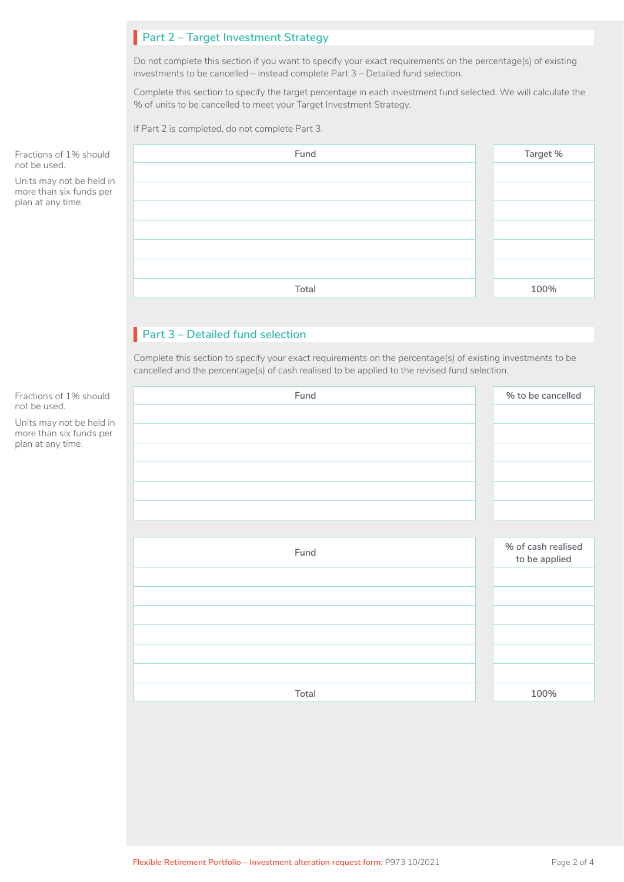## **Part 2 – Target Investment Strategy**

Do not complete this section if you want to specify your exact requirements on the percentage(s) of existing investments to be cancelled – instead complete Part 3 – Detailed fund selection.

Complete this section to specify the target percentage in each investment fund selected. We will calculate the % of units to be cancelled to meet your Target Investment Strategy.

If Part 2 is completed, do not complete Part 3.

| 1% should                       | Fund  | Target % |
|---------------------------------|-------|----------|
|                                 |       |          |
| not be held in<br>six funds per |       |          |
| time.                           |       |          |
|                                 |       |          |
|                                 |       |          |
|                                 |       |          |
|                                 | Total | 100%     |

## **Part 3 – Detailed fund selection**

Complete this section to specify your exact requirements on the percentage(s) of existing investments to be cancelled and the percentage(s) of cash realised to be applied to the revised fund selection.

|        | Fund  | % to be cancelled  |
|--------|-------|--------------------|
|        |       |                    |
| n<br>r |       |                    |
|        |       |                    |
|        |       |                    |
|        |       |                    |
|        |       |                    |
|        |       |                    |
|        | Fund  | % of cash realised |
|        |       | to be applied      |
|        |       |                    |
|        |       |                    |
|        |       |                    |
|        |       |                    |
|        |       |                    |
|        |       |                    |
|        | Total | 100%               |

Fractions of not be used.

Units may r  $more than s$ plan at any

Fractions of 1% should not be used.

Units may not be held in more than six funds per plan at any time.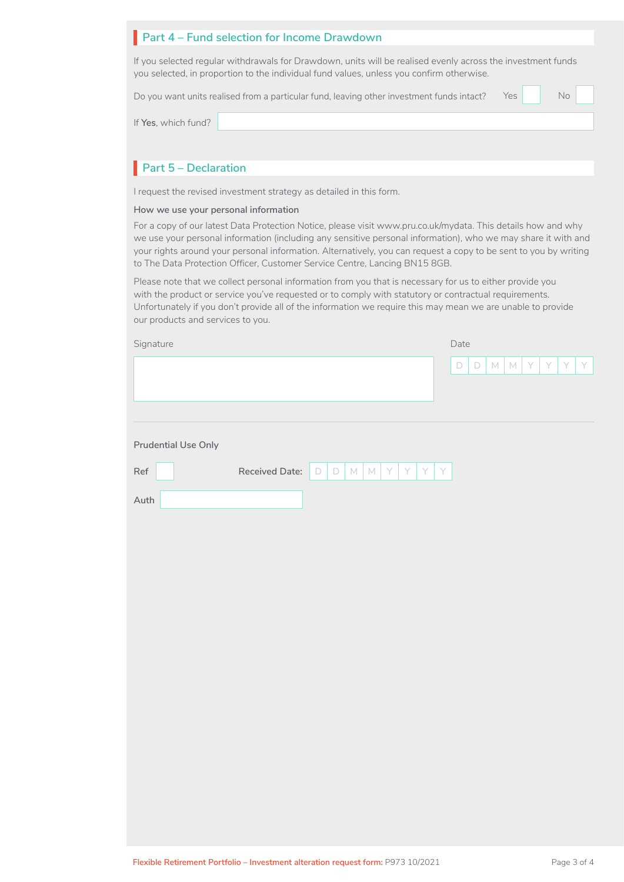#### **Part 4 – Fund selection for Income Drawdown**

If you selected regular withdrawals for Drawdown, units will be realised evenly across the investment funds you selected, in proportion to the individual fund values, unless you confirm otherwise.

Do you want units realised from a particular fund, leaving other investment funds intact?

Yes

If **Yes**, which fund?

## **Part 5 – Declaration**

I request the revised investment strategy as detailed in this form.

#### **How we use your personal information**

For a copy of our latest Data Protection Notice, please visit www.pru.co.uk/mydata. This details how and why we use your personal information (including any sensitive personal information), who we may share it with and your rights around your personal information. Alternatively, you can request a copy to be sent to you by writing to The Data Protection Officer, Customer Service Centre, Lancing BN15 8GB.

Please note that we collect personal information from you that is necessary for us to either provide you with the product or service you've requested or to comply with statutory or contractual requirements. Unfortunately if you don't provide all of the information we require this may mean we are unable to provide our products and services to you.

| Signature                                                         | Date                                              |
|-------------------------------------------------------------------|---------------------------------------------------|
|                                                                   | $\Box$<br>Y<br>$M$ $M$<br>Y<br>Y.<br>Y<br>$\Box$  |
|                                                                   |                                                   |
|                                                                   |                                                   |
| <b>Prudential Use Only</b>                                        |                                                   |
| $\ensuremath{\mathsf{Ref}}$<br>Received Date:<br>$\Box$<br>$\Box$ | $\mathsf{Y}$<br>$M$ $M$<br>Y<br>$\mathsf{Y}$<br>Y |
| Auth                                                              |                                                   |
|                                                                   |                                                   |
|                                                                   |                                                   |
|                                                                   |                                                   |
|                                                                   |                                                   |
|                                                                   |                                                   |
|                                                                   |                                                   |
|                                                                   |                                                   |
|                                                                   |                                                   |
|                                                                   |                                                   |
|                                                                   |                                                   |
|                                                                   |                                                   |
|                                                                   |                                                   |
|                                                                   |                                                   |